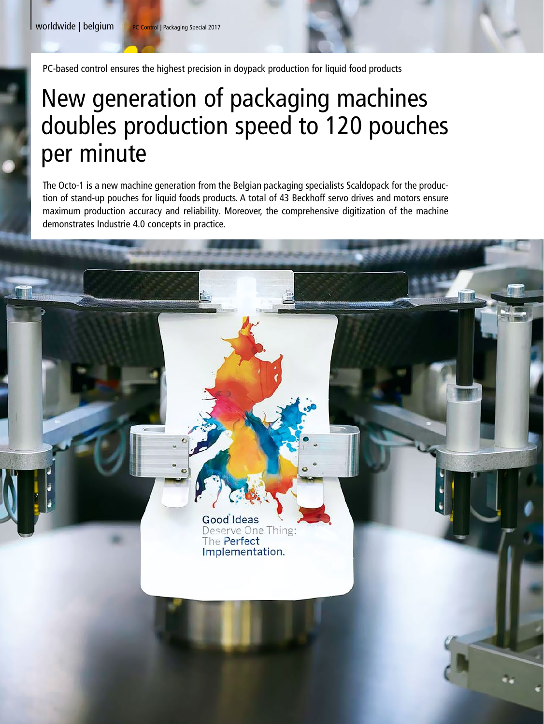PC-based control ensures the highest precision in doypack production for liquid food products

# New generation of packaging machines doubles production speed to 120 pouches per minute

The Octo-1 is a new machine generation from the Belgian packaging specialists Scaldopack for the production of stand-up pouches for liquid foods products. A total of 43 Beckhoff servo drives and motors ensure maximum production accuracy and reliability. Moreover, the comprehensive digitization of the machine demonstrates Industrie 4.0 concepts in practice.

> Good Ideas Deserve One Thing: The Perfect Implementation.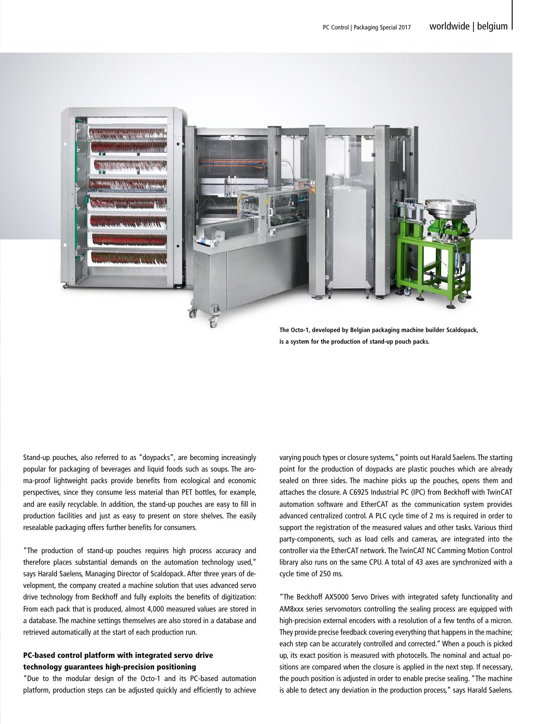|



**The Octo-1, developed by Belgian packaging machine builder Scaldopack, is a system for the production of stand-up pouch packs.**

Stand-up pouches, also referred to as "doypacks", are becoming increasingly popular for packaging of beverages and liquid foods such as soups. The aroma-proof lightweight packs provide benefits from ecological and economic perspectives, since they consume less material than PET bottles, for example, and are easily recyclable. In addition, the stand-up pouches are easy to fill in production facilities and just as easy to present on store shelves. The easily resealable packaging offers further benefits for consumers.

"The production of stand-up pouches requires high process accuracy and therefore places substantial demands on the automation technology used," says Harald Saelens, Managing Director of Scaldopack. After three years of development, the company created a machine solution that uses advanced servo drive technology from Beckhoff and fully exploits the benefits of digitization: From each pack that is produced, almost 4,000 measured values are stored in a database. The machine settings themselves are also stored in a database and retrieved automatically at the start of each production run.

### PC-based control platform with integrated servo drive technology guarantees high-precision positioning

"Due to the modular design of the Octo-1 and its PC-based automation platform, production steps can be adjusted quickly and efficiently to achieve varying pouch types or closure systems," points out Harald Saelens. The starting point for the production of doypacks are plastic pouches which are already sealed on three sides. The machine picks up the pouches, opens them and attaches the closure. A C6925 Industrial PC (IPC) from Beckhoff with TwinCAT automation software and EtherCAT as the communication system provides advanced centralized control. A PLC cycle time of 2 ms is required in order to support the registration of the measured values and other tasks. Various third party-components, such as load cells and cameras, are integrated into the controller via the EtherCAT network. The TwinCAT NC Camming Motion Control library also runs on the same CPU. A total of 43 axes are synchronized with a cycle time of 250 ms.

"The Beckhoff AX5000 Servo Drives with integrated safety functionality and AM8xxx series servomotors controlling the sealing process are equipped with high-precision external encoders with a resolution of a few tenths of a micron. They provide precise feedback covering everything that happens in the machine; each step can be accurately controlled and corrected." When a pouch is picked up, its exact position is measured with photocells. The nominal and actual positions are compared when the closure is applied in the next step. If necessary, the pouch position is adjusted in order to enable precise sealing. "The machine is able to detect any deviation in the production process," says Harald Saelens.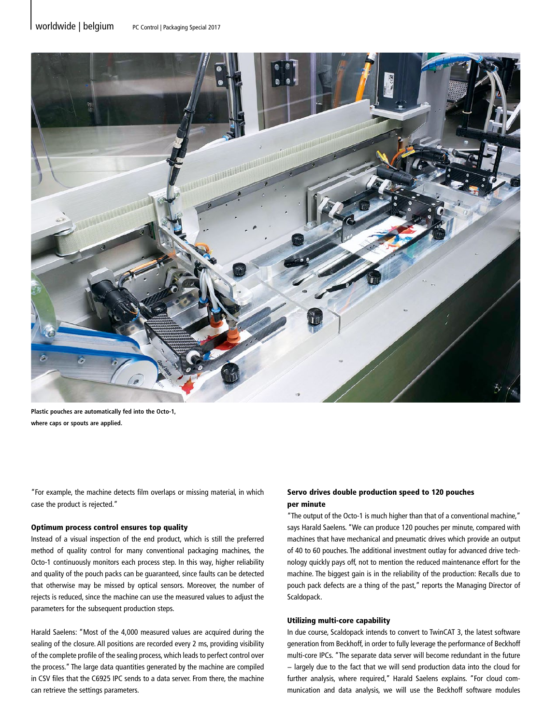

**Plastic pouches are automatically fed into the Octo-1, where caps or spouts are applied.**

"For example, the machine detects film overlaps or missing material, in which case the product is rejected."

#### Optimum process control ensures top quality

Instead of a visual inspection of the end product, which is still the preferred method of quality control for many conventional packaging machines, the Octo-1 continuously monitors each process step. In this way, higher reliability and quality of the pouch packs can be guaranteed, since faults can be detected that otherwise may be missed by optical sensors. Moreover, the number of rejects is reduced, since the machine can use the measured values to adjust the parameters for the subsequent production steps.

Harald Saelens: "Most of the 4,000 measured values are acquired during the sealing of the closure. All positions are recorded every 2 ms, providing visibility of the complete profile of the sealing process, which leads to perfect control over the process." The large data quantities generated by the machine are compiled in CSV files that the C6925 IPC sends to a data server. From there, the machine can retrieve the settings parameters.

#### Servo drives double production speed to 120 pouches per minute

"The output of the Octo-1 is much higher than that of a conventional machine," says Harald Saelens. "We can produce 120 pouches per minute, compared with machines that have mechanical and pneumatic drives which provide an output of 40 to 60 pouches. The additional investment outlay for advanced drive technology quickly pays off, not to mention the reduced maintenance effort for the machine. The biggest gain is in the reliability of the production: Recalls due to pouch pack defects are a thing of the past," reports the Managing Director of Scaldopack.

#### Utilizing multi-core capability

In due course, Scaldopack intends to convert to TwinCAT 3, the latest software generation from Beckhoff, in order to fully leverage the performance of Beckhoff multi-core IPCs. "The separate data server will become redundant in the future − largely due to the fact that we will send production data into the cloud for further analysis, where required," Harald Saelens explains. "For cloud communication and data analysis, we will use the Beckhoff software modules